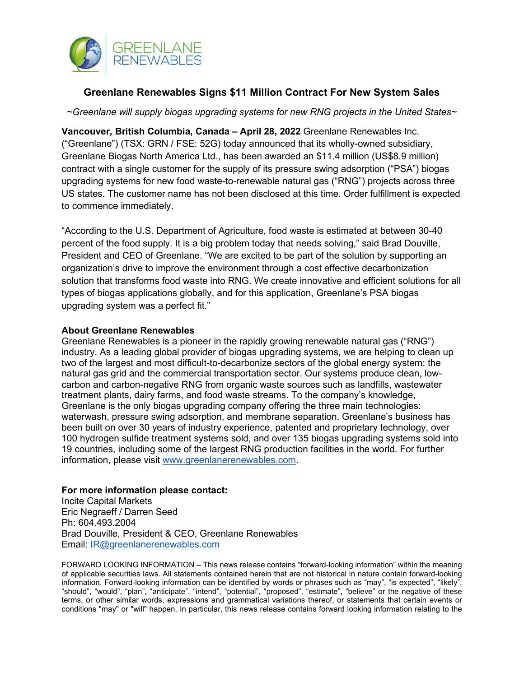

## **Greenlane Renewables Signs \$11 Million Contract For New System Sales**

*~Greenlane will supply biogas upgrading systems for new RNG projects in the United States~*

**Vancouver, British Columbia, Canada – April 28, 2022** Greenlane Renewables Inc. ("Greenlane") (TSX: GRN / FSE: 52G) today announced that its wholly-owned subsidiary, Greenlane Biogas North America Ltd., has been awarded an \$11.4 million (US\$8.9 million) contract with a single customer for the supply of its pressure swing adsorption ("PSA") biogas upgrading systems for new food waste-to-renewable natural gas ("RNG") projects across three US states. The customer name has not been disclosed at this time. Order fulfillment is expected to commence immediately.

"According to the U.S. Department of Agriculture, food waste is estimated at between 30-40 percent of the food supply. It is a big problem today that needs solving," said Brad Douville, President and CEO of Greenlane. "We are excited to be part of the solution by supporting an organization's drive to improve the environment through a cost effective decarbonization solution that transforms food waste into RNG. We create innovative and efficient solutions for all types of biogas applications globally, and for this application, Greenlane's PSA biogas upgrading system was a perfect fit."

## **About Greenlane Renewables**

Greenlane Renewables is a pioneer in the rapidly growing renewable natural gas ("RNG") industry. As a leading global provider of biogas upgrading systems, we are helping to clean up two of the largest and most difficult-to-decarbonize sectors of the global energy system: the natural gas grid and the commercial transportation sector. Our systems produce clean, lowcarbon and carbon-negative RNG from organic waste sources such as landfills, wastewater treatment plants, dairy farms, and food waste streams. To the company's knowledge, Greenlane is the only biogas upgrading company offering the three main technologies: waterwash, pressure swing adsorption, and membrane separation. Greenlane's business has been built on over 30 years of industry experience, patented and proprietary technology, over 100 hydrogen sulfide treatment systems sold, and over 135 biogas upgrading systems sold into 19 countries, including some of the largest RNG production facilities in the world. For further information, please visit [www.greenlanerenewables.com.](http://www.greenlanerenewables.com/)

## **For more information please contact:**

Incite Capital Markets Eric Negraeff / Darren Seed Ph: 604.493.2004 Brad Douville, President & CEO, Greenlane Renewables Email: [IR@greenlanerenewables.com](mailto:IR@greenlanerenewables.com)

FORWARD LOOKING INFORMATION – This news release contains "forward-looking information" within the meaning of applicable securities laws. All statements contained herein that are not historical in nature contain forward-looking information. Forward-looking information can be identified by words or phrases such as "may", "is expected", "likely", "should", "would", "plan", "anticipate", "intend", "potential", "proposed", "estimate", "believe" or the negative of these terms, or other similar words, expressions and grammatical variations thereof, or statements that certain events or conditions "may" or "will" happen. In particular, this news release contains forward looking information relating to the